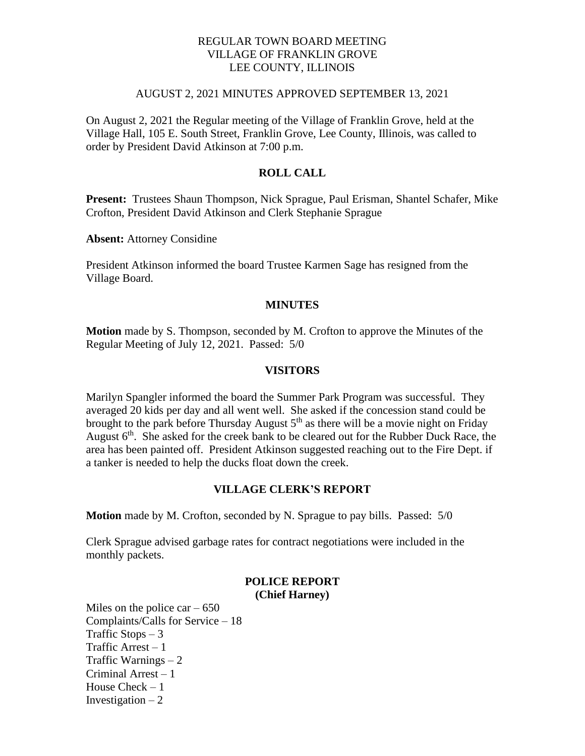## REGULAR TOWN BOARD MEETING VILLAGE OF FRANKLIN GROVE LEE COUNTY, ILLINOIS

### AUGUST 2, 2021 MINUTES APPROVED SEPTEMBER 13, 2021

On August 2, 2021 the Regular meeting of the Village of Franklin Grove, held at the Village Hall, 105 E. South Street, Franklin Grove, Lee County, Illinois, was called to order by President David Atkinson at 7:00 p.m.

# **ROLL CALL**

**Present:** Trustees Shaun Thompson, Nick Sprague, Paul Erisman, Shantel Schafer, Mike Crofton, President David Atkinson and Clerk Stephanie Sprague

**Absent:** Attorney Considine

President Atkinson informed the board Trustee Karmen Sage has resigned from the Village Board.

### **MINUTES**

**Motion** made by S. Thompson, seconded by M. Crofton to approve the Minutes of the Regular Meeting of July 12, 2021. Passed: 5/0

### **VISITORS**

Marilyn Spangler informed the board the Summer Park Program was successful. They averaged 20 kids per day and all went well. She asked if the concession stand could be brought to the park before Thursday August  $5<sup>th</sup>$  as there will be a movie night on Friday August 6<sup>th</sup>. She asked for the creek bank to be cleared out for the Rubber Duck Race, the area has been painted off. President Atkinson suggested reaching out to the Fire Dept. if a tanker is needed to help the ducks float down the creek.

### **VILLAGE CLERK'S REPORT**

**Motion** made by M. Crofton, seconded by N. Sprague to pay bills. Passed: 5/0

Clerk Sprague advised garbage rates for contract negotiations were included in the monthly packets.

### **POLICE REPORT (Chief Harney)**

Miles on the police car  $-650$ Complaints/Calls for Service – 18 Traffic Stops  $-3$ Traffic Arrest – 1 Traffic Warnings – 2 Criminal Arrest – 1 House Check – 1 Investigation  $-2$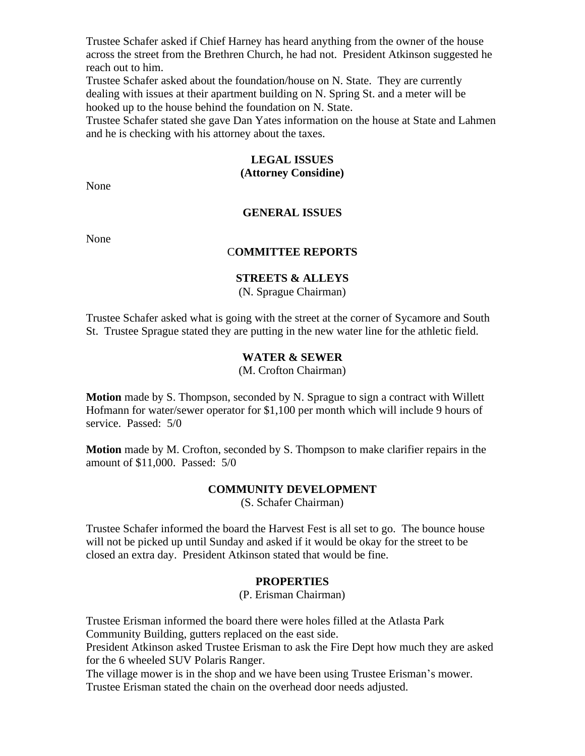Trustee Schafer asked if Chief Harney has heard anything from the owner of the house across the street from the Brethren Church, he had not. President Atkinson suggested he reach out to him.

Trustee Schafer asked about the foundation/house on N. State. They are currently dealing with issues at their apartment building on N. Spring St. and a meter will be hooked up to the house behind the foundation on N. State.

Trustee Schafer stated she gave Dan Yates information on the house at State and Lahmen and he is checking with his attorney about the taxes.

### **LEGAL ISSUES (Attorney Considine)**

None

## **GENERAL ISSUES**

None

# C**OMMITTEE REPORTS**

## **STREETS & ALLEYS**

(N. Sprague Chairman)

Trustee Schafer asked what is going with the street at the corner of Sycamore and South St. Trustee Sprague stated they are putting in the new water line for the athletic field.

## **WATER & SEWER**

(M. Crofton Chairman)

**Motion** made by S. Thompson, seconded by N. Sprague to sign a contract with Willett Hofmann for water/sewer operator for \$1,100 per month which will include 9 hours of service. Passed: 5/0

**Motion** made by M. Crofton, seconded by S. Thompson to make clarifier repairs in the amount of \$11,000. Passed: 5/0

## **COMMUNITY DEVELOPMENT**

(S. Schafer Chairman)

Trustee Schafer informed the board the Harvest Fest is all set to go. The bounce house will not be picked up until Sunday and asked if it would be okay for the street to be closed an extra day. President Atkinson stated that would be fine.

#### **PROPERTIES**

(P. Erisman Chairman)

Trustee Erisman informed the board there were holes filled at the Atlasta Park Community Building, gutters replaced on the east side.

President Atkinson asked Trustee Erisman to ask the Fire Dept how much they are asked for the 6 wheeled SUV Polaris Ranger.

The village mower is in the shop and we have been using Trustee Erisman's mower. Trustee Erisman stated the chain on the overhead door needs adjusted.